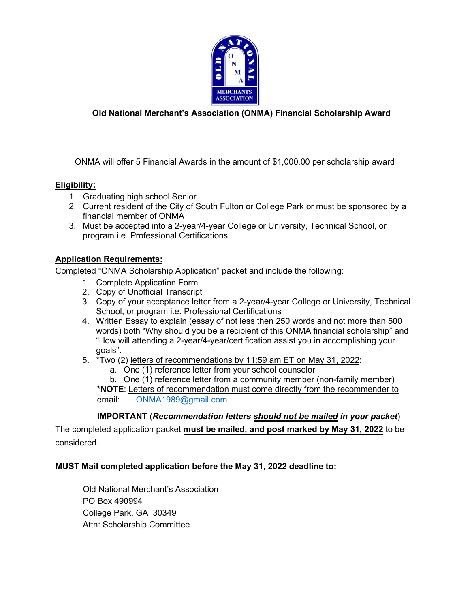

## **Old National Merchant's Association (ONMA) Financial Scholarship Award**

ONMA will offer 5 Financial Awards in the amount of \$1,000.00 per scholarship award

### **Eligibility:**

- 1. Graduating high school Senior
- 2. Current resident of the City of South Fulton or College Park or must be sponsored by a financial member of ONMA
- 3. Must be accepted into a 2-year/4-year College or University, Technical School, or program i.e. Professional Certifications

### **Application Requirements:**

Completed "ONMA Scholarship Application" packet and include the following:

- 1. Complete Application Form
- 2. Copy of Unofficial Transcript
- 3. Copy of your acceptance letter from a 2-year/4-year College or University, Technical School, or program i.e. Professional Certifications
- 4. Written Essay to explain (essay of not less then 250 words and not more than 500 words) both "Why should you be a recipient of this ONMA financial scholarship" and "How will attending a 2-year/4-year/certification assist you in accomplishing your goals".
- 5. \*Two (2) letters of recommendations by 11:59 am ET on May 31, 2022:
	- a. One (1) reference letter from your school counselor

b. One (1) reference letter from a community member (non-family member) **\*NOTE**: Letters of recommendation must come directly from the recommender to

email: [ONMA1989@gmail.com](mailto:ONMA1989@gmail.com)

## **IMPORTANT** (*Recommendation letters should not be mailed in your packet*)

The completed application packet **must be mailed, and post marked by May 31, 2022** to be considered.

#### **MUST Mail completed application before the May 31, 2022 deadline to:**

Old National Merchant's Association PO Box 490994 College Park, GA 30349 Attn: Scholarship Committee